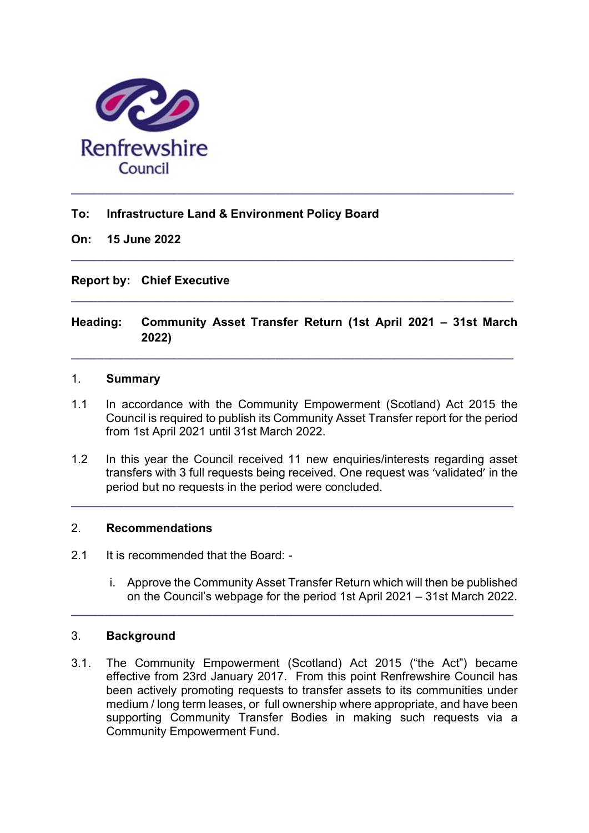

# To: Infrastructure Land & Environment Policy Board

#### On: 15 June 2022

## Report by: Chief Executive

# Heading: Community Asset Transfer Return (1st April 2021 – 31st March 2022)

 $\_$  , and the set of the set of the set of the set of the set of the set of the set of the set of the set of the set of the set of the set of the set of the set of the set of the set of the set of the set of the set of th

 $\_$  ,  $\_$  ,  $\_$  ,  $\_$  ,  $\_$  ,  $\_$  ,  $\_$  ,  $\_$  ,  $\_$  ,  $\_$  ,  $\_$  ,  $\_$  ,  $\_$  ,  $\_$  ,  $\_$  ,  $\_$  ,  $\_$  ,  $\_$  ,  $\_$ 

 $\_$  , and the set of the set of the set of the set of the set of the set of the set of the set of the set of the set of the set of the set of the set of the set of the set of the set of the set of the set of the set of th

#### 1. Summary

- 1.1 In accordance with the Community Empowerment (Scotland) Act 2015 the Council is required to publish its Community Asset Transfer report for the period from 1st April 2021 until 31st March 2022.
- 1.2 In this year the Council received 11 new enquiries/interests regarding asset transfers with 3 full requests being received. One request was 'validated' in the period but no requests in the period were concluded.

 $\_$  ,  $\_$  ,  $\_$  ,  $\_$  ,  $\_$  ,  $\_$  ,  $\_$  ,  $\_$  ,  $\_$  ,  $\_$  ,  $\_$  ,  $\_$  ,  $\_$  ,  $\_$  ,  $\_$  ,  $\_$  ,  $\_$  ,  $\_$  ,  $\_$ 

## 2. Recommendations

- 2.1 It is recommended that the Board:
	- i. Approve the Community Asset Transfer Return which will then be published on the Council's webpage for the period 1st April 2021 – 31st March 2022.

## 3. Background

3.1. The Community Empowerment (Scotland) Act 2015 ("the Act") became effective from 23rd January 2017. From this point Renfrewshire Council has been actively promoting requests to transfer assets to its communities under medium / long term leases, or full ownership where appropriate, and have been supporting Community Transfer Bodies in making such requests via a Community Empowerment Fund.

 $\_$  ,  $\_$  ,  $\_$  ,  $\_$  ,  $\_$  ,  $\_$  ,  $\_$  ,  $\_$  ,  $\_$  ,  $\_$  ,  $\_$  ,  $\_$  ,  $\_$  ,  $\_$  ,  $\_$  ,  $\_$  ,  $\_$  ,  $\_$  ,  $\_$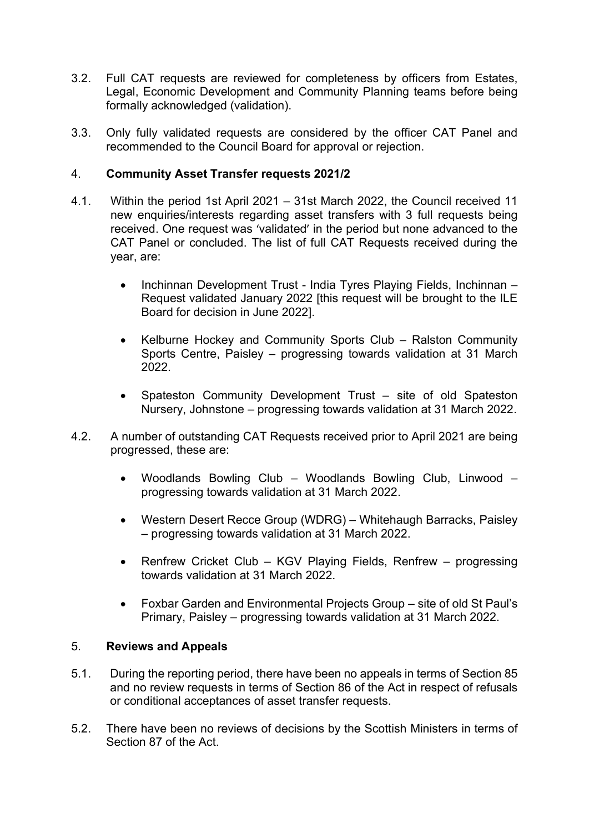- 3.2. Full CAT requests are reviewed for completeness by officers from Estates, Legal, Economic Development and Community Planning teams before being formally acknowledged (validation).
- 3.3. Only fully validated requests are considered by the officer CAT Panel and recommended to the Council Board for approval or rejection.

## 4. Community Asset Transfer requests 2021/2

- 4.1. Within the period 1st April 2021 31st March 2022, the Council received 11 new enquiries/interests regarding asset transfers with 3 full requests being received. One request was 'validated' in the period but none advanced to the CAT Panel or concluded. The list of full CAT Requests received during the year, are:
	- Inchinnan Development Trust India Tyres Playing Fields, Inchinnan -Request validated January 2022 [this request will be brought to the ILE Board for decision in June 2022].
	- Kelburne Hockey and Community Sports Club Ralston Community Sports Centre, Paisley – progressing towards validation at 31 March 2022.
	- Spateston Community Development Trust site of old Spateston Nursery, Johnstone – progressing towards validation at 31 March 2022.
- 4.2. A number of outstanding CAT Requests received prior to April 2021 are being progressed, these are:
	- Woodlands Bowling Club Woodlands Bowling Club, Linwood progressing towards validation at 31 March 2022.
	- Western Desert Recce Group (WDRG) Whitehaugh Barracks, Paisley – progressing towards validation at 31 March 2022.
	- Renfrew Cricket Club KGV Playing Fields, Renfrew progressing towards validation at 31 March 2022.
	- Foxbar Garden and Environmental Projects Group site of old St Paul's Primary, Paisley – progressing towards validation at 31 March 2022.

## 5. Reviews and Appeals

- 5.1. During the reporting period, there have been no appeals in terms of Section 85 and no review requests in terms of Section 86 of the Act in respect of refusals or conditional acceptances of asset transfer requests.
- 5.2. There have been no reviews of decisions by the Scottish Ministers in terms of Section 87 of the Act.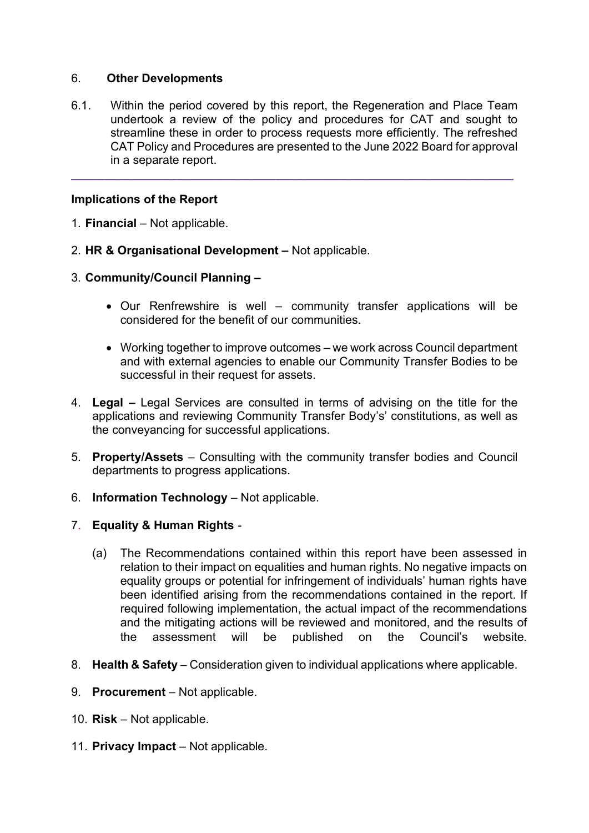# 6. Other Developments

6.1. Within the period covered by this report, the Regeneration and Place Team undertook a review of the policy and procedures for CAT and sought to streamline these in order to process requests more efficiently. The refreshed CAT Policy and Procedures are presented to the June 2022 Board for approval in a separate report.

 $\_$  ,  $\_$  ,  $\_$  ,  $\_$  ,  $\_$  ,  $\_$  ,  $\_$  ,  $\_$  ,  $\_$  ,  $\_$  ,  $\_$  ,  $\_$  ,  $\_$  ,  $\_$  ,  $\_$  ,  $\_$  ,  $\_$  ,  $\_$  ,  $\_$ 

# Implications of the Report

- 1. Financial Not applicable.
- 2. HR & Organisational Development Not applicable.
- 3. Community/Council Planning
	- Our Renfrewshire is well community transfer applications will be considered for the benefit of our communities.
	- Working together to improve outcomes we work across Council department and with external agencies to enable our Community Transfer Bodies to be successful in their request for assets.
- 4. Legal Legal Services are consulted in terms of advising on the title for the applications and reviewing Community Transfer Body's' constitutions, as well as the conveyancing for successful applications.
- 5. Property/Assets Consulting with the community transfer bodies and Council departments to progress applications.
- 6. Information Technology Not applicable.
- 7. Equality & Human Rights
	- (a) The Recommendations contained within this report have been assessed in relation to their impact on equalities and human rights. No negative impacts on equality groups or potential for infringement of individuals' human rights have been identified arising from the recommendations contained in the report. If required following implementation, the actual impact of the recommendations and the mitigating actions will be reviewed and monitored, and the results of the assessment will be published on the Council's website.
- 8. Health & Safety Consideration given to individual applications where applicable.
- 9. Procurement Not applicable.
- 10. Risk Not applicable.
- 11. Privacy Impact Not applicable.